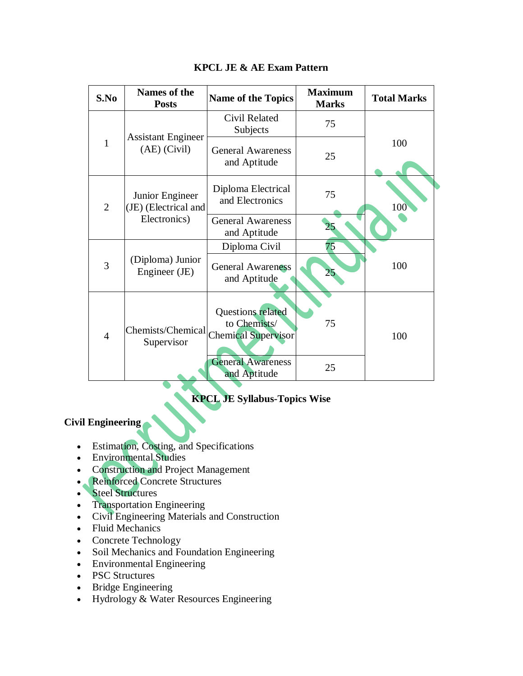| S.No           | <b>Names of the</b><br><b>Posts</b>                     | <b>Name of the Topics</b>                                       | <b>Maximum</b><br><b>Marks</b> | <b>Total Marks</b> |
|----------------|---------------------------------------------------------|-----------------------------------------------------------------|--------------------------------|--------------------|
| 1              | <b>Assistant Engineer</b><br>$(AE)$ (Civil)             | Civil Related<br>Subjects                                       | 75                             |                    |
|                |                                                         | <b>General Awareness</b><br>and Aptitude                        | 25                             | 100                |
| $\overline{2}$ | Junior Engineer<br>(JE) (Electrical and<br>Electronics) | Diploma Electrical<br>and Electronics                           | 75                             | 100                |
|                |                                                         | <b>General Awareness</b><br>and Aptitude                        |                                |                    |
| 3              | (Diploma) Junior<br>Engineer (JE)                       | Diploma Civil                                                   | 75                             |                    |
|                |                                                         | <b>General Awareness</b><br>and Aptitude                        | 25                             | 100                |
| $\overline{4}$ | Chemists/Chemical<br>Supervisor                         | Questions related<br>to Chemists/<br><b>Chemical Supervisor</b> | 75                             | 100                |
|                |                                                         | <b>General Awareness</b><br>and Aptitude                        | 25                             |                    |

## **KPCL JE & AE Exam Pattern**

# **KPCL JE Syllabus-Topics Wise**

# **Civil Engineering**

- Estimation, Costing, and Specifications
- Environmental Studies
- Construction and Project Management
- Reinforced Concrete Structures
- Steel Structures
- Transportation Engineering
- Civil Engineering Materials and Construction
- Fluid Mechanics
- Concrete Technology
- Soil Mechanics and Foundation Engineering
- Environmental Engineering
- PSC Structures
- Bridge Engineering
- Hydrology & Water Resources Engineering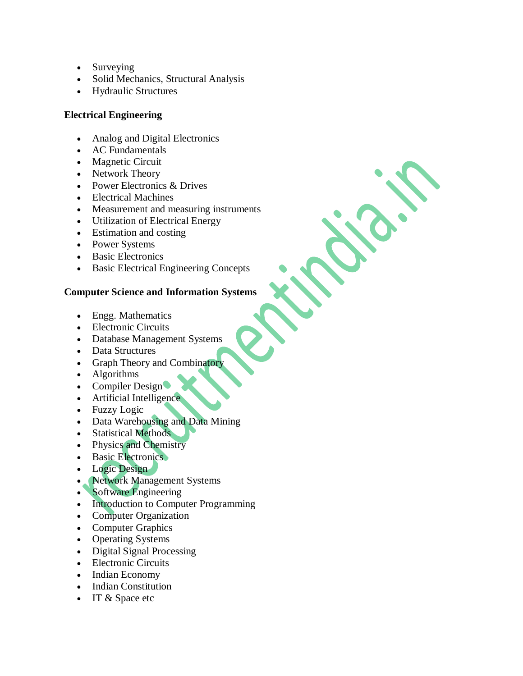- Surveying
- Solid Mechanics, Structural Analysis
- Hydraulic Structures

## **Electrical Engineering**

- Analog and Digital Electronics
- AC Fundamentals
- Magnetic Circuit
- Network Theory
- Power Electronics & Drives
- Electrical Machines
- Measurement and measuring instruments
- Utilization of Electrical Energy
- Estimation and costing
- Power Systems
- Basic Electronics
- Basic Electrical Engineering Concepts

## **Computer Science and Information Systems**

- Engg. Mathematics
- Electronic Circuits
- Database Management Systems
- Data Structures
- Graph Theory and Combinatory
- Algorithms
- Compiler Design
- Artificial Intelligence
- Fuzzy Logic
- Data Warehousing and Data Mining
- Statistical Methods
- Physics and Chemistry
- Basic Electronics
- Logic Design
- Network Management Systems
- Software Engineering
- Introduction to Computer Programming
- Computer Organization
- Computer Graphics
- Operating Systems
- Digital Signal Processing
- Electronic Circuits
- Indian Economy
- Indian Constitution
- IT & Space etc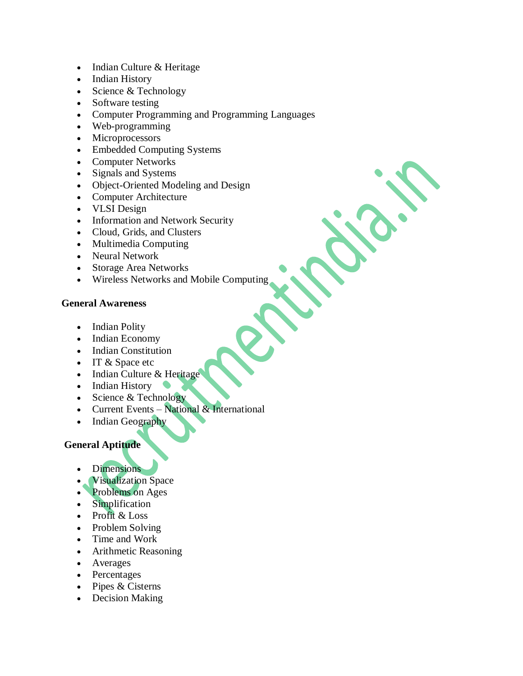- Indian Culture & Heritage
- Indian History
- $\bullet$  Science & Technology
- Software testing
- Computer Programming and Programming Languages
- Web-programming
- Microprocessors
- Embedded Computing Systems
- Computer Networks
- Signals and Systems
- Object-Oriented Modeling and Design
- Computer Architecture
- VLSI Design
- Information and Network Security
- Cloud, Grids, and Clusters
- Multimedia Computing
- Neural Network
- Storage Area Networks
- Wireless Networks and Mobile Computing

#### **General Awareness**

- Indian Polity
- Indian Economy
- Indian Constitution
- IT & Space etc
- Indian Culture & Heritage
- Indian History
- Science & Technology
- Current Events National & International
- Indian Geography

## **General Aptitude**

- **Dimensions**
- Visualization Space
- Problems on Ages
- Simplification
- Profit & Loss
- Problem Solving
- Time and Work
- Arithmetic Reasoning
- Averages
- Percentages
- $\bullet$  Pipes & Cisterns
- Decision Making